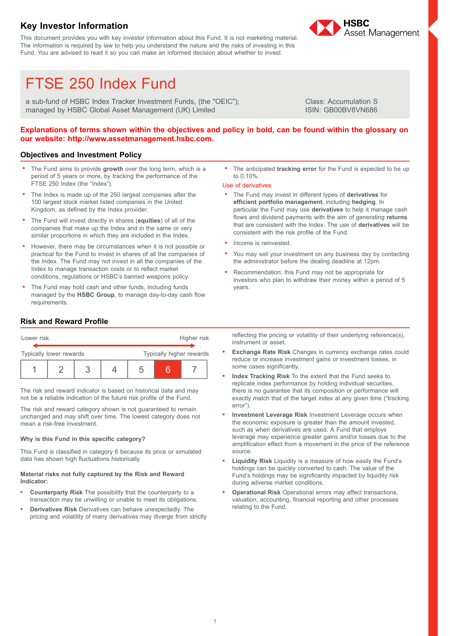## **Key Investor Information**

This document provides you with key investor information about this Fund. It is not marketing material. The information is required by law to help you understand the nature and the risks of investing in this Fund. You are advised to read it so you can make an informed decision about whether to invest.



&

# FTSE 250 Index Fund

a sub-fund of HSBC Index Tracker Investment Funds, (the "OEIC"); managed by HSBC Global Asset Management (UK) Limited

Class: Accumulation S ISIN: GB00BV8VN686

## Explanations of terms shown within the objectives and policy in bold, can be found within the glossary on **our website: http://www.assetmanagement.hsbc.com.**

## **Objectives and Investment Policy**

- . The Fund aims to provide **growth** over the long term, which is a period of 5 years or more, by tracking the performance of the FTSE 250 Index (the "Index").
- . The Index is made up of the 250 largest companies after the 100 largest stock market listed companies in the United Kingdom, as defined by the Index provider.
- . The Fund will invest directly in shares (**equities**) of all of the companies that make up the Index and in the same or very similar proportions in which they are included in the Index.
- . However, there may be circumstances when it is not possible or practical for the Fund to invest in shares of all the companies of the Index. The Fund may not invest in all the companies of the Index to manage transaction costs or to reflect market conditions, regulations or HSBC's banned weapons policy.
- . The Fund may hold cash and other funds, including funds managed by the **HSBC Group**, to manage day-to-day cash flow requirements.

. The anticipated **tracking error** for the Fund is expected to be up to 0.10%.

#### Use of derivatives

- . The Fund may invest in different types of **derivatives** for **efficient portfolio management**, including **hedging**. In particular the Fund may use **derivatives** to help it manage cash flows and dividend payments with the aim of generating **returns** that are consistent with the Index. The use of **derivatives** will be consistent with the risk profile of the Fund.
- . Income is reinvested.
- . You may sell your investment on any business day by contacting the administrator before the dealing deadline at 12pm.
- . Recommendation: this Fund may not be appropriate for investors who plan to withdraw their money within a period of 5 years.

## **Risk and Reward Profile**

| Lower risk              |  |  |  |                          | Higher risk |  |  |
|-------------------------|--|--|--|--------------------------|-------------|--|--|
| Typically lower rewards |  |  |  | Typically higher rewards |             |  |  |
|                         |  |  |  |                          |             |  |  |

The risk and reward indicator is based on historical data and may not be a reliable indication of the future risk profile of the Fund.

The risk and reward category shown is not guaranteed to remain unchanged and may shift over time. The lowest category does not mean a risk-free investment.

### **Why is this Fund in this specific category?**

This Fund is classified in category 6 because its price or simulated data has shown high fluctuations historically.

#### **Material risks not fully captured by the Risk and Reward Indicator:**

- . **Counterparty Risk** The possibility that the counterparty to a transaction may be unwilling or unable to meet its obligations.
- . **Derivatives Risk** Derivatives can behave unexpectedly. The pricing and volatility of many derivatives may diverge from strictly

reflecting the pricing or volatility of their underlying reference(s), instrument or asset.

- . **Exchange Rate Risk** Changes in currency exchange rates could reduce or increase investment gains or investment losses, in some cases significantly.
- . **Index Tracking Risk** To the extent that the Fund seeks to replicate index performance by holding individual securities, there is no guarantee that its composition or performance will exactly match that of the target index at any given time ("tracking error").
- . **Investment Leverage Risk** Investment Leverage occurs when the economic exposure is greater than the amount invested, such as when derivatives are used. A Fund that employs leverage may experience greater gains and/or losses due to the amplification effect from a movement in the price of the reference source.
- . **Liquidity Risk** Liquidity is a measure of how easily the Fund's holdings can be quickly converted to cash. The value of the Fund's holdings may be significantly impacted by liquidity risk during adverse market conditions.
- . **Operational Risk** Operational errors may affect transactions, valuation, accounting, financial reporting and other processes relating to the Fund.